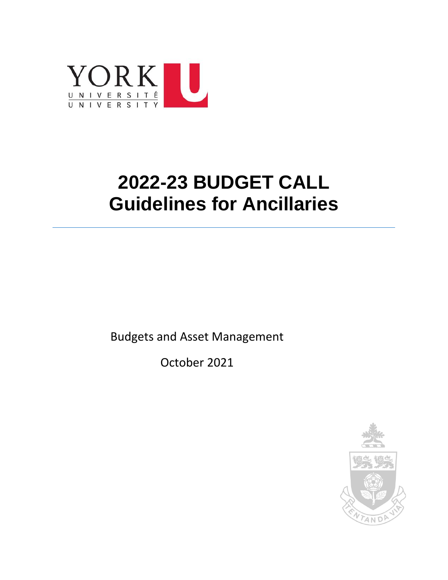

# **2022-23 BUDGET CALL Guidelines for Ancillaries**

Budgets and Asset Management

October 2021

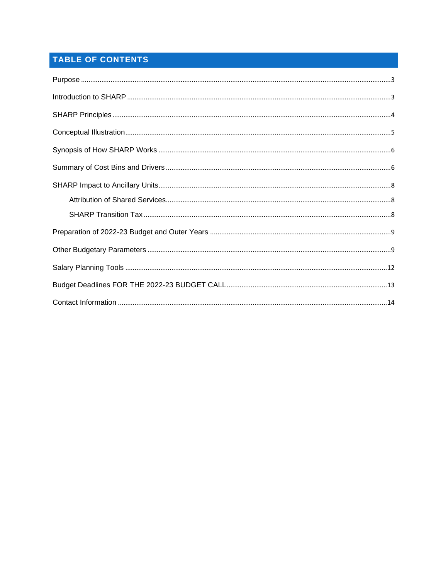# TABLE OF CONTENTS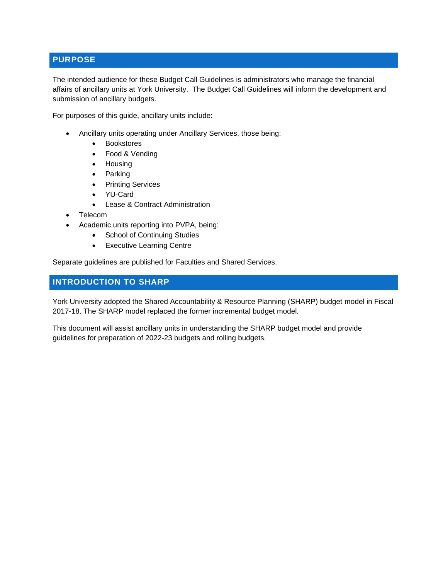## <span id="page-2-0"></span>**PURPOSE**

The intended audience for these Budget Call Guidelines is administrators who manage the financial affairs of ancillary units at York University. The Budget Call Guidelines will inform the development and submission of ancillary budgets.

For purposes of this guide, ancillary units include:

- Ancillary units operating under Ancillary Services, those being:
	- Bookstores
	- Food & Vending
	- Housing
	- Parking
	- Printing Services
	- YU-Card
	- Lease & Contract Administration
- Telecom
- Academic units reporting into PVPA, being:
	- School of Continuing Studies
	- Executive Learning Centre

Separate guidelines are published for Faculties and Shared Services.

#### <span id="page-2-1"></span>**INTRODUCTION TO SHARP**

York University adopted the Shared Accountability & Resource Planning (SHARP) budget model in Fiscal 2017-18. The SHARP model replaced the former incremental budget model.

This document will assist ancillary units in understanding the SHARP budget model and provide guidelines for preparation of 2022-23 budgets and rolling budgets.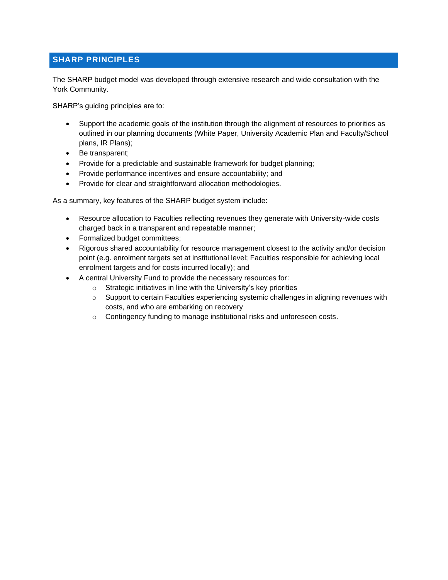## <span id="page-3-0"></span>**SHARP PRINCIPLES**

The SHARP budget model was developed through extensive research and wide consultation with the York Community.

SHARP's guiding principles are to:

- Support the academic goals of the institution through the alignment of resources to priorities as outlined in our planning documents (White Paper, University Academic Plan and Faculty/School plans, IR Plans);
- Be transparent;
- Provide for a predictable and sustainable framework for budget planning;
- Provide performance incentives and ensure accountability; and
- Provide for clear and straightforward allocation methodologies.

As a summary, key features of the SHARP budget system include:

- Resource allocation to Faculties reflecting revenues they generate with University-wide costs charged back in a transparent and repeatable manner;
- Formalized budget committees;
- Rigorous shared accountability for resource management closest to the activity and/or decision point (e.g. enrolment targets set at institutional level; Faculties responsible for achieving local enrolment targets and for costs incurred locally); and
- A central University Fund to provide the necessary resources for:
	- $\circ$  Strategic initiatives in line with the University's key priorities
	- $\circ$  Support to certain Faculties experiencing systemic challenges in aligning revenues with costs, and who are embarking on recovery
	- o Contingency funding to manage institutional risks and unforeseen costs.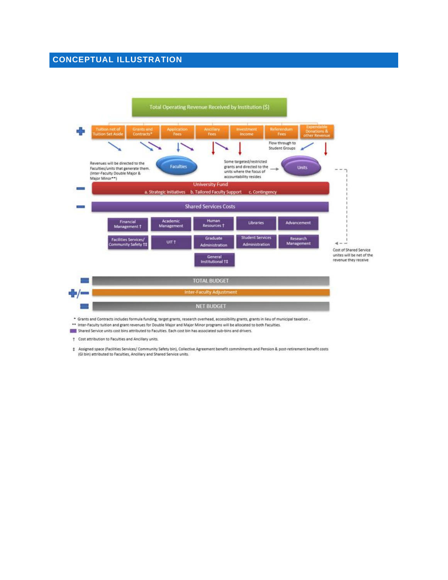## <span id="page-4-0"></span>**CONCEPTUAL ILLUSTRATION**



Shared Service units cost bins attributed to Faculties. Each cost bin has associated sub-bins and drivers.

† Cost attribution to Faculties and Ancillary units.

# Assigned space (Facilities Services/ Community Safety bin), Collective Agreement benefit commitments and Pension & post-retirement benefit costs (GI bin) attributed to Faculties, Ancillary and Shared Service units.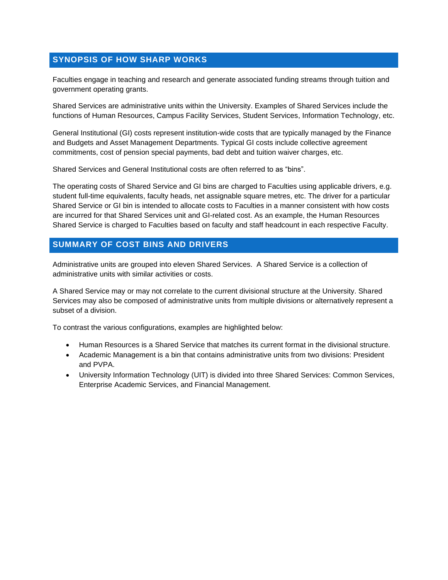## <span id="page-5-0"></span>**SYNOPSIS OF HOW SHARP WORKS**

Faculties engage in teaching and research and generate associated funding streams through tuition and government operating grants.

Shared Services are administrative units within the University. Examples of Shared Services include the functions of Human Resources, Campus Facility Services, Student Services, Information Technology, etc.

General Institutional (GI) costs represent institution-wide costs that are typically managed by the Finance and Budgets and Asset Management Departments. Typical GI costs include collective agreement commitments, cost of pension special payments, bad debt and tuition waiver charges, etc.

Shared Services and General Institutional costs are often referred to as "bins".

The operating costs of Shared Service and GI bins are charged to Faculties using applicable drivers, e.g. student full-time equivalents, faculty heads, net assignable square metres, etc. The driver for a particular Shared Service or GI bin is intended to allocate costs to Faculties in a manner consistent with how costs are incurred for that Shared Services unit and GI-related cost. As an example, the Human Resources Shared Service is charged to Faculties based on faculty and staff headcount in each respective Faculty.

#### <span id="page-5-1"></span>**SUMMARY OF COST BINS AND DRIVERS**

Administrative units are grouped into eleven Shared Services. A Shared Service is a collection of administrative units with similar activities or costs.

A Shared Service may or may not correlate to the current divisional structure at the University. Shared Services may also be composed of administrative units from multiple divisions or alternatively represent a subset of a division.

To contrast the various configurations, examples are highlighted below:

- Human Resources is a Shared Service that matches its current format in the divisional structure.
- Academic Management is a bin that contains administrative units from two divisions: President and PVPA.
- University Information Technology (UIT) is divided into three Shared Services: Common Services, Enterprise Academic Services, and Financial Management.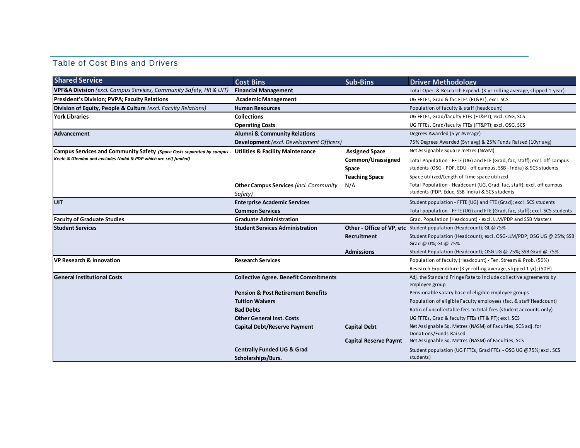# Table of Cost Bins and Drivers

| <b>Financial Management</b><br>Total Oper. & Research Expend. (3-yr rolling average, slipped 1-year)<br><b>Academic Management</b><br>UG FFTEs, Grad & fac FTEs (FT&PT), excl. SCS<br><b>Human Resources</b><br>Population of faculty & staff (headcount)<br><b>Collections</b><br>UG FFTEs, Grad/faculty FTEs (FT&PT); excl. OSG, SCS<br><b>Operating Costs</b><br>UG FFTEs, Grad/faculty FTEs (FT&PT); excl. OSG, SCS<br><b>Alumni &amp; Community Relations</b><br>Degrees Awarded (5 yr Average)<br>Development (excl. Development Officers)<br>75% Degrees Awarded (5yr avg) & 25% Funds Raised (10yr avg)<br>Net Assignable Square metres (NASM)<br>Campus Services and Community Safety (Space Costs separated by campus - Utilities & Facility Maintenance<br><b>Assigned Space</b><br>Common/Unassigned<br>Total Population - FFTE (UG) and FTE (Grad, fac, staff); excl. off-campus<br>students (OSG - PDP, EDU - off campus, SSB - India) & SCS students<br>Space<br>Space utilized/Length of Time space utilized<br><b>Teaching Space</b><br>Total Population - Headcount (UG, Grad, fac, staff); excl. off campus<br><b>Other Campus Services (incl. Community</b><br>N/A<br>students (PDP, Educ, SSB-India) & SCS students<br>Safety)<br><b>Enterprise Academic Services</b><br>Student population - FFTE (UG) and FTE (Grad); excl. SCS students<br>Total population - FFTE (UG) and FTE (Grad, fac, staff); excl. SCS students<br><b>Common Services</b><br>Grad. Population (Headcount) - excl. LLM/PDP and SSB Masters<br><b>Graduate Administration</b><br>Other - Office of VP, etc Student population (Headcount); GL @75%<br><b>Student Services Administration</b><br>Recruitment<br>Student Population (Headcount); excl. OSG-LLM/PDP; OSG UG @ 25%; SSB<br>Grad @ 0%; GL @ 75%<br><b>Admissions</b><br>Student Population (Headcount); OSG UG @ 25%; SSB Grad @ 75%<br><b>Research Services</b><br>Population of faculty (Headcount) - Ten. Stream & Prob. (50%)<br>Research Expenditure (3 yr rolling average, slipped 1 yr); (50%)<br>Adj. the Standard Fringe Rate to include collective agreements by<br><b>Collective Agree. Benefit Commitments</b><br>employee group<br><b>Pension &amp; Post Retirement Benefits</b><br>Pensionable salary base of eligible employee groups<br><b>Tuition Waivers</b><br>Population of eligible Faculty employees (fac. & staff Headcount)<br>Ratio of uncollectable fees to total fees (student accounts only)<br><b>Bad Debts</b><br>UG FFTEs, Grad & faculty FTEs (FT & PT); excl. SCS<br><b>Other General Inst. Costs</b><br>Net Assignable Sq. Metres (NASM) of Faculties, SCS adj. for<br><b>Capital Debt/Reserve Payment</b><br><b>Capital Debt</b><br>Donations/Funds Raised<br><b>Capital Reserve Paymt</b><br>Net Assignable Sq. Metres (NASM) of Faculties, SCS<br><b>Centrally Funded UG &amp; Grad</b><br>Student population (UG FFTEs, Grad FTEs - OSG UG @75%; excl. SCS | <b>Shared Service</b>                                                         | <b>Cost Bins</b>   | <b>Sub-Bins</b> | <b>Driver Methodology</b> |
|----------------------------------------------------------------------------------------------------------------------------------------------------------------------------------------------------------------------------------------------------------------------------------------------------------------------------------------------------------------------------------------------------------------------------------------------------------------------------------------------------------------------------------------------------------------------------------------------------------------------------------------------------------------------------------------------------------------------------------------------------------------------------------------------------------------------------------------------------------------------------------------------------------------------------------------------------------------------------------------------------------------------------------------------------------------------------------------------------------------------------------------------------------------------------------------------------------------------------------------------------------------------------------------------------------------------------------------------------------------------------------------------------------------------------------------------------------------------------------------------------------------------------------------------------------------------------------------------------------------------------------------------------------------------------------------------------------------------------------------------------------------------------------------------------------------------------------------------------------------------------------------------------------------------------------------------------------------------------------------------------------------------------------------------------------------------------------------------------------------------------------------------------------------------------------------------------------------------------------------------------------------------------------------------------------------------------------------------------------------------------------------------------------------------------------------------------------------------------------------------------------------------------------------------------------------------------------------------------------------------------------------------------------------------------------------------------------------------------------------------------------------------------------------------------------------------------------------------------------------------------------------------------------------------------------------------------------|-------------------------------------------------------------------------------|--------------------|-----------------|---------------------------|
|                                                                                                                                                                                                                                                                                                                                                                                                                                                                                                                                                                                                                                                                                                                                                                                                                                                                                                                                                                                                                                                                                                                                                                                                                                                                                                                                                                                                                                                                                                                                                                                                                                                                                                                                                                                                                                                                                                                                                                                                                                                                                                                                                                                                                                                                                                                                                                                                                                                                                                                                                                                                                                                                                                                                                                                                                                                                                                                                                          | <b>VPF&amp;A Division</b> (excl. Campus Services, Community Safety, HR & UIT) |                    |                 |                           |
|                                                                                                                                                                                                                                                                                                                                                                                                                                                                                                                                                                                                                                                                                                                                                                                                                                                                                                                                                                                                                                                                                                                                                                                                                                                                                                                                                                                                                                                                                                                                                                                                                                                                                                                                                                                                                                                                                                                                                                                                                                                                                                                                                                                                                                                                                                                                                                                                                                                                                                                                                                                                                                                                                                                                                                                                                                                                                                                                                          | <b>President's Division; PVPA; Faculty Relations</b>                          |                    |                 |                           |
|                                                                                                                                                                                                                                                                                                                                                                                                                                                                                                                                                                                                                                                                                                                                                                                                                                                                                                                                                                                                                                                                                                                                                                                                                                                                                                                                                                                                                                                                                                                                                                                                                                                                                                                                                                                                                                                                                                                                                                                                                                                                                                                                                                                                                                                                                                                                                                                                                                                                                                                                                                                                                                                                                                                                                                                                                                                                                                                                                          | Division of Equity, People & Culture (excl. Faculty Relations)                |                    |                 |                           |
|                                                                                                                                                                                                                                                                                                                                                                                                                                                                                                                                                                                                                                                                                                                                                                                                                                                                                                                                                                                                                                                                                                                                                                                                                                                                                                                                                                                                                                                                                                                                                                                                                                                                                                                                                                                                                                                                                                                                                                                                                                                                                                                                                                                                                                                                                                                                                                                                                                                                                                                                                                                                                                                                                                                                                                                                                                                                                                                                                          | York Libraries                                                                |                    |                 |                           |
|                                                                                                                                                                                                                                                                                                                                                                                                                                                                                                                                                                                                                                                                                                                                                                                                                                                                                                                                                                                                                                                                                                                                                                                                                                                                                                                                                                                                                                                                                                                                                                                                                                                                                                                                                                                                                                                                                                                                                                                                                                                                                                                                                                                                                                                                                                                                                                                                                                                                                                                                                                                                                                                                                                                                                                                                                                                                                                                                                          |                                                                               |                    |                 |                           |
|                                                                                                                                                                                                                                                                                                                                                                                                                                                                                                                                                                                                                                                                                                                                                                                                                                                                                                                                                                                                                                                                                                                                                                                                                                                                                                                                                                                                                                                                                                                                                                                                                                                                                                                                                                                                                                                                                                                                                                                                                                                                                                                                                                                                                                                                                                                                                                                                                                                                                                                                                                                                                                                                                                                                                                                                                                                                                                                                                          | <b>Advancement</b>                                                            |                    |                 |                           |
|                                                                                                                                                                                                                                                                                                                                                                                                                                                                                                                                                                                                                                                                                                                                                                                                                                                                                                                                                                                                                                                                                                                                                                                                                                                                                                                                                                                                                                                                                                                                                                                                                                                                                                                                                                                                                                                                                                                                                                                                                                                                                                                                                                                                                                                                                                                                                                                                                                                                                                                                                                                                                                                                                                                                                                                                                                                                                                                                                          |                                                                               |                    |                 |                           |
|                                                                                                                                                                                                                                                                                                                                                                                                                                                                                                                                                                                                                                                                                                                                                                                                                                                                                                                                                                                                                                                                                                                                                                                                                                                                                                                                                                                                                                                                                                                                                                                                                                                                                                                                                                                                                                                                                                                                                                                                                                                                                                                                                                                                                                                                                                                                                                                                                                                                                                                                                                                                                                                                                                                                                                                                                                                                                                                                                          |                                                                               |                    |                 |                           |
|                                                                                                                                                                                                                                                                                                                                                                                                                                                                                                                                                                                                                                                                                                                                                                                                                                                                                                                                                                                                                                                                                                                                                                                                                                                                                                                                                                                                                                                                                                                                                                                                                                                                                                                                                                                                                                                                                                                                                                                                                                                                                                                                                                                                                                                                                                                                                                                                                                                                                                                                                                                                                                                                                                                                                                                                                                                                                                                                                          | Keele & Glendon and excludes Nadal & PDP which are self funded)               |                    |                 |                           |
|                                                                                                                                                                                                                                                                                                                                                                                                                                                                                                                                                                                                                                                                                                                                                                                                                                                                                                                                                                                                                                                                                                                                                                                                                                                                                                                                                                                                                                                                                                                                                                                                                                                                                                                                                                                                                                                                                                                                                                                                                                                                                                                                                                                                                                                                                                                                                                                                                                                                                                                                                                                                                                                                                                                                                                                                                                                                                                                                                          |                                                                               |                    |                 |                           |
|                                                                                                                                                                                                                                                                                                                                                                                                                                                                                                                                                                                                                                                                                                                                                                                                                                                                                                                                                                                                                                                                                                                                                                                                                                                                                                                                                                                                                                                                                                                                                                                                                                                                                                                                                                                                                                                                                                                                                                                                                                                                                                                                                                                                                                                                                                                                                                                                                                                                                                                                                                                                                                                                                                                                                                                                                                                                                                                                                          |                                                                               |                    |                 |                           |
|                                                                                                                                                                                                                                                                                                                                                                                                                                                                                                                                                                                                                                                                                                                                                                                                                                                                                                                                                                                                                                                                                                                                                                                                                                                                                                                                                                                                                                                                                                                                                                                                                                                                                                                                                                                                                                                                                                                                                                                                                                                                                                                                                                                                                                                                                                                                                                                                                                                                                                                                                                                                                                                                                                                                                                                                                                                                                                                                                          |                                                                               |                    |                 |                           |
|                                                                                                                                                                                                                                                                                                                                                                                                                                                                                                                                                                                                                                                                                                                                                                                                                                                                                                                                                                                                                                                                                                                                                                                                                                                                                                                                                                                                                                                                                                                                                                                                                                                                                                                                                                                                                                                                                                                                                                                                                                                                                                                                                                                                                                                                                                                                                                                                                                                                                                                                                                                                                                                                                                                                                                                                                                                                                                                                                          |                                                                               |                    |                 |                           |
|                                                                                                                                                                                                                                                                                                                                                                                                                                                                                                                                                                                                                                                                                                                                                                                                                                                                                                                                                                                                                                                                                                                                                                                                                                                                                                                                                                                                                                                                                                                                                                                                                                                                                                                                                                                                                                                                                                                                                                                                                                                                                                                                                                                                                                                                                                                                                                                                                                                                                                                                                                                                                                                                                                                                                                                                                                                                                                                                                          | <b>UIT</b>                                                                    |                    |                 |                           |
|                                                                                                                                                                                                                                                                                                                                                                                                                                                                                                                                                                                                                                                                                                                                                                                                                                                                                                                                                                                                                                                                                                                                                                                                                                                                                                                                                                                                                                                                                                                                                                                                                                                                                                                                                                                                                                                                                                                                                                                                                                                                                                                                                                                                                                                                                                                                                                                                                                                                                                                                                                                                                                                                                                                                                                                                                                                                                                                                                          |                                                                               |                    |                 |                           |
|                                                                                                                                                                                                                                                                                                                                                                                                                                                                                                                                                                                                                                                                                                                                                                                                                                                                                                                                                                                                                                                                                                                                                                                                                                                                                                                                                                                                                                                                                                                                                                                                                                                                                                                                                                                                                                                                                                                                                                                                                                                                                                                                                                                                                                                                                                                                                                                                                                                                                                                                                                                                                                                                                                                                                                                                                                                                                                                                                          | <b>Faculty of Graduate Studies</b>                                            |                    |                 |                           |
|                                                                                                                                                                                                                                                                                                                                                                                                                                                                                                                                                                                                                                                                                                                                                                                                                                                                                                                                                                                                                                                                                                                                                                                                                                                                                                                                                                                                                                                                                                                                                                                                                                                                                                                                                                                                                                                                                                                                                                                                                                                                                                                                                                                                                                                                                                                                                                                                                                                                                                                                                                                                                                                                                                                                                                                                                                                                                                                                                          | <b>Student Services</b>                                                       |                    |                 |                           |
|                                                                                                                                                                                                                                                                                                                                                                                                                                                                                                                                                                                                                                                                                                                                                                                                                                                                                                                                                                                                                                                                                                                                                                                                                                                                                                                                                                                                                                                                                                                                                                                                                                                                                                                                                                                                                                                                                                                                                                                                                                                                                                                                                                                                                                                                                                                                                                                                                                                                                                                                                                                                                                                                                                                                                                                                                                                                                                                                                          |                                                                               |                    |                 |                           |
|                                                                                                                                                                                                                                                                                                                                                                                                                                                                                                                                                                                                                                                                                                                                                                                                                                                                                                                                                                                                                                                                                                                                                                                                                                                                                                                                                                                                                                                                                                                                                                                                                                                                                                                                                                                                                                                                                                                                                                                                                                                                                                                                                                                                                                                                                                                                                                                                                                                                                                                                                                                                                                                                                                                                                                                                                                                                                                                                                          |                                                                               |                    |                 |                           |
|                                                                                                                                                                                                                                                                                                                                                                                                                                                                                                                                                                                                                                                                                                                                                                                                                                                                                                                                                                                                                                                                                                                                                                                                                                                                                                                                                                                                                                                                                                                                                                                                                                                                                                                                                                                                                                                                                                                                                                                                                                                                                                                                                                                                                                                                                                                                                                                                                                                                                                                                                                                                                                                                                                                                                                                                                                                                                                                                                          | VP Research & Innovation                                                      |                    |                 |                           |
|                                                                                                                                                                                                                                                                                                                                                                                                                                                                                                                                                                                                                                                                                                                                                                                                                                                                                                                                                                                                                                                                                                                                                                                                                                                                                                                                                                                                                                                                                                                                                                                                                                                                                                                                                                                                                                                                                                                                                                                                                                                                                                                                                                                                                                                                                                                                                                                                                                                                                                                                                                                                                                                                                                                                                                                                                                                                                                                                                          |                                                                               |                    |                 |                           |
|                                                                                                                                                                                                                                                                                                                                                                                                                                                                                                                                                                                                                                                                                                                                                                                                                                                                                                                                                                                                                                                                                                                                                                                                                                                                                                                                                                                                                                                                                                                                                                                                                                                                                                                                                                                                                                                                                                                                                                                                                                                                                                                                                                                                                                                                                                                                                                                                                                                                                                                                                                                                                                                                                                                                                                                                                                                                                                                                                          | <b>General Institutional Costs</b>                                            |                    |                 |                           |
|                                                                                                                                                                                                                                                                                                                                                                                                                                                                                                                                                                                                                                                                                                                                                                                                                                                                                                                                                                                                                                                                                                                                                                                                                                                                                                                                                                                                                                                                                                                                                                                                                                                                                                                                                                                                                                                                                                                                                                                                                                                                                                                                                                                                                                                                                                                                                                                                                                                                                                                                                                                                                                                                                                                                                                                                                                                                                                                                                          |                                                                               |                    |                 |                           |
|                                                                                                                                                                                                                                                                                                                                                                                                                                                                                                                                                                                                                                                                                                                                                                                                                                                                                                                                                                                                                                                                                                                                                                                                                                                                                                                                                                                                                                                                                                                                                                                                                                                                                                                                                                                                                                                                                                                                                                                                                                                                                                                                                                                                                                                                                                                                                                                                                                                                                                                                                                                                                                                                                                                                                                                                                                                                                                                                                          |                                                                               |                    |                 |                           |
|                                                                                                                                                                                                                                                                                                                                                                                                                                                                                                                                                                                                                                                                                                                                                                                                                                                                                                                                                                                                                                                                                                                                                                                                                                                                                                                                                                                                                                                                                                                                                                                                                                                                                                                                                                                                                                                                                                                                                                                                                                                                                                                                                                                                                                                                                                                                                                                                                                                                                                                                                                                                                                                                                                                                                                                                                                                                                                                                                          |                                                                               |                    |                 |                           |
|                                                                                                                                                                                                                                                                                                                                                                                                                                                                                                                                                                                                                                                                                                                                                                                                                                                                                                                                                                                                                                                                                                                                                                                                                                                                                                                                                                                                                                                                                                                                                                                                                                                                                                                                                                                                                                                                                                                                                                                                                                                                                                                                                                                                                                                                                                                                                                                                                                                                                                                                                                                                                                                                                                                                                                                                                                                                                                                                                          |                                                                               |                    |                 |                           |
|                                                                                                                                                                                                                                                                                                                                                                                                                                                                                                                                                                                                                                                                                                                                                                                                                                                                                                                                                                                                                                                                                                                                                                                                                                                                                                                                                                                                                                                                                                                                                                                                                                                                                                                                                                                                                                                                                                                                                                                                                                                                                                                                                                                                                                                                                                                                                                                                                                                                                                                                                                                                                                                                                                                                                                                                                                                                                                                                                          |                                                                               |                    |                 |                           |
|                                                                                                                                                                                                                                                                                                                                                                                                                                                                                                                                                                                                                                                                                                                                                                                                                                                                                                                                                                                                                                                                                                                                                                                                                                                                                                                                                                                                                                                                                                                                                                                                                                                                                                                                                                                                                                                                                                                                                                                                                                                                                                                                                                                                                                                                                                                                                                                                                                                                                                                                                                                                                                                                                                                                                                                                                                                                                                                                                          |                                                                               |                    |                 |                           |
|                                                                                                                                                                                                                                                                                                                                                                                                                                                                                                                                                                                                                                                                                                                                                                                                                                                                                                                                                                                                                                                                                                                                                                                                                                                                                                                                                                                                                                                                                                                                                                                                                                                                                                                                                                                                                                                                                                                                                                                                                                                                                                                                                                                                                                                                                                                                                                                                                                                                                                                                                                                                                                                                                                                                                                                                                                                                                                                                                          |                                                                               |                    |                 |                           |
|                                                                                                                                                                                                                                                                                                                                                                                                                                                                                                                                                                                                                                                                                                                                                                                                                                                                                                                                                                                                                                                                                                                                                                                                                                                                                                                                                                                                                                                                                                                                                                                                                                                                                                                                                                                                                                                                                                                                                                                                                                                                                                                                                                                                                                                                                                                                                                                                                                                                                                                                                                                                                                                                                                                                                                                                                                                                                                                                                          |                                                                               |                    |                 |                           |
|                                                                                                                                                                                                                                                                                                                                                                                                                                                                                                                                                                                                                                                                                                                                                                                                                                                                                                                                                                                                                                                                                                                                                                                                                                                                                                                                                                                                                                                                                                                                                                                                                                                                                                                                                                                                                                                                                                                                                                                                                                                                                                                                                                                                                                                                                                                                                                                                                                                                                                                                                                                                                                                                                                                                                                                                                                                                                                                                                          |                                                                               | Scholarships/Burs. |                 | students)                 |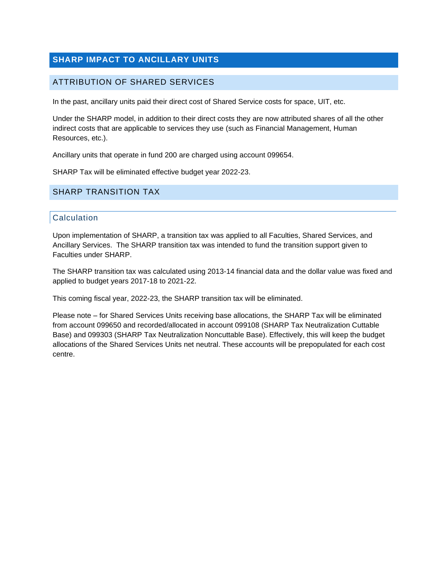# <span id="page-7-0"></span>**SHARP IMPACT TO ANCILLARY UNITS**

#### <span id="page-7-1"></span>ATTRIBUTION OF SHARED SERVICES

In the past, ancillary units paid their direct cost of Shared Service costs for space, UIT, etc.

Under the SHARP model, in addition to their direct costs they are now attributed shares of all the other indirect costs that are applicable to services they use (such as Financial Management, Human Resources, etc.).

Ancillary units that operate in fund 200 are charged using account 099654.

SHARP Tax will be eliminated effective budget year 2022-23.

#### <span id="page-7-2"></span>SHARP TRANSITION TAX

#### **Calculation**

Upon implementation of SHARP, a transition tax was applied to all Faculties, Shared Services, and Ancillary Services. The SHARP transition tax was intended to fund the transition support given to Faculties under SHARP.

The SHARP transition tax was calculated using 2013-14 financial data and the dollar value was fixed and applied to budget years 2017-18 to 2021-22.

This coming fiscal year, 2022-23, the SHARP transition tax will be eliminated.

Please note – for Shared Services Units receiving base allocations, the SHARP Tax will be eliminated from account 099650 and recorded/allocated in account 099108 (SHARP Tax Neutralization Cuttable Base) and 099303 (SHARP Tax Neutralization Noncuttable Base). Effectively, this will keep the budget allocations of the Shared Services Units net neutral. These accounts will be prepopulated for each cost centre.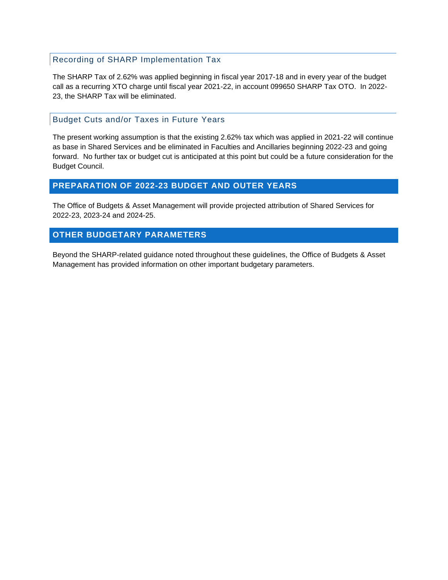#### Recording of SHARP Implementation Tax

The SHARP Tax of 2.62% was applied beginning in fiscal year 2017-18 and in every year of the budget call as a recurring XTO charge until fiscal year 2021-22, in account 099650 SHARP Tax OTO. In 2022- 23, the SHARP Tax will be eliminated.

#### Budget Cuts and/or Taxes in Future Years

The present working assumption is that the existing 2.62% tax which was applied in 2021-22 will continue as base in Shared Services and be eliminated in Faculties and Ancillaries beginning 2022-23 and going forward. No further tax or budget cut is anticipated at this point but could be a future consideration for the Budget Council.

#### <span id="page-8-0"></span>**PREPARATION OF 2022-23 BUDGET AND OUTER YEARS**

The Office of Budgets & Asset Management will provide projected attribution of Shared Services for 2022-23, 2023-24 and 2024-25.

## <span id="page-8-1"></span>**OTHER BUDGETARY PARAMETERS**

Beyond the SHARP-related guidance noted throughout these guidelines, the Office of Budgets & Asset Management has provided information on other important budgetary parameters.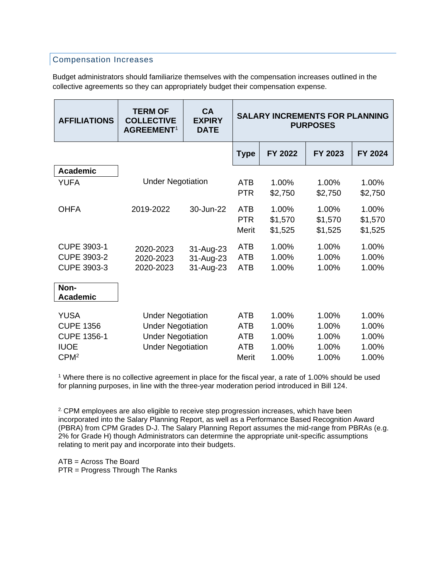## Compensation Increases

Budget administrators should familiarize themselves with the compensation increases outlined in the collective agreements so they can appropriately budget their compensation expense.

| <b>AFFILIATIONS</b>                                                                      | <b>TERM OF</b><br><b>COLLECTIVE</b><br><b>AGREEMENT<sup>1</sup></b>                                          | <b>CA</b><br><b>EXPIRY</b><br><b>DATE</b> | <b>SALARY INCREMENTS FOR PLANNING</b><br><b>PURPOSES</b>      |                                           |                                           |                                           |
|------------------------------------------------------------------------------------------|--------------------------------------------------------------------------------------------------------------|-------------------------------------------|---------------------------------------------------------------|-------------------------------------------|-------------------------------------------|-------------------------------------------|
|                                                                                          |                                                                                                              |                                           | <b>Type</b>                                                   | FY 2022                                   | FY 2023                                   | FY 2024                                   |
| <b>Academic</b>                                                                          |                                                                                                              |                                           |                                                               |                                           |                                           |                                           |
| <b>YUFA</b>                                                                              | <b>Under Negotiation</b>                                                                                     |                                           | <b>ATB</b><br><b>PTR</b>                                      | 1.00%<br>\$2,750                          | 1.00%<br>\$2,750                          | 1.00%<br>\$2,750                          |
| <b>OHFA</b>                                                                              | 2019-2022                                                                                                    | 30-Jun-22                                 | <b>ATB</b><br><b>PTR</b><br>Merit                             | 1.00%<br>\$1,570<br>\$1,525               | 1.00%<br>\$1,570<br>\$1,525               | 1.00%<br>\$1,570<br>\$1,525               |
| <b>CUPE 3903-1</b><br><b>CUPE 3903-2</b><br>CUPE 3903-3                                  | 2020-2023<br>2020-2023<br>2020-2023                                                                          | 31-Aug-23<br>31-Aug-23<br>31-Aug-23       | <b>ATB</b><br><b>ATB</b><br><b>ATB</b>                        | 1.00%<br>1.00%<br>1.00%                   | 1.00%<br>1.00%<br>1.00%                   | 1.00%<br>1.00%<br>1.00%                   |
| Non-<br><b>Academic</b>                                                                  |                                                                                                              |                                           |                                                               |                                           |                                           |                                           |
| <b>YUSA</b><br><b>CUPE 1356</b><br><b>CUPE 1356-1</b><br><b>IUOE</b><br>CPM <sup>2</sup> | <b>Under Negotiation</b><br><b>Under Negotiation</b><br><b>Under Negotiation</b><br><b>Under Negotiation</b> |                                           | <b>ATB</b><br><b>ATB</b><br><b>ATB</b><br><b>ATB</b><br>Merit | 1.00%<br>1.00%<br>1.00%<br>1.00%<br>1.00% | 1.00%<br>1.00%<br>1.00%<br>1.00%<br>1.00% | 1.00%<br>1.00%<br>1.00%<br>1.00%<br>1.00% |

<sup>1</sup> Where there is no collective agreement in place for the fiscal year, a rate of 1.00% should be used for planning purposes, in line with the three-year moderation period introduced in Bill 124.

<sup>2.</sup> CPM employees are also eligible to receive step progression increases, which have been incorporated into the Salary Planning Report, as well as a Performance Based Recognition Award (PBRA) from CPM Grades D-J. The Salary Planning Report assumes the mid-range from PBRAs (e.g. 2% for Grade H) though Administrators can determine the appropriate unit-specific assumptions relating to merit pay and incorporate into their budgets.

ATB = Across The Board PTR = Progress Through The Ranks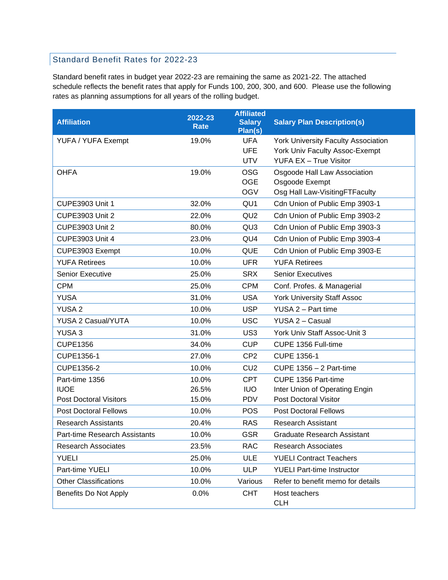## Standard Benefit Rates for 2022-23

Standard benefit rates in budget year 2022-23 are remaining the same as 2021-22. The attached schedule reflects the benefit rates that apply for Funds 100, 200, 300, and 600. Please use the following rates as planning assumptions for all years of the rolling budget.

| <b>Affiliation</b>            | 2022-23<br><b>Rate</b> | <b>Affiliated</b><br><b>Salary</b><br>Plan(s) | <b>Salary Plan Description(s)</b>          |
|-------------------------------|------------------------|-----------------------------------------------|--------------------------------------------|
| YUFA / YUFA Exempt            | 19.0%                  | <b>UFA</b>                                    | <b>York University Faculty Association</b> |
|                               |                        | <b>UFE</b>                                    | York Univ Faculty Assoc-Exempt             |
|                               |                        | <b>UTV</b>                                    | <b>YUFA EX - True Visitor</b>              |
| <b>OHFA</b>                   | 19.0%                  | <b>OSG</b>                                    | Osgoode Hall Law Association               |
|                               |                        | <b>OGE</b>                                    | Osgoode Exempt                             |
|                               |                        | <b>OGV</b>                                    | Osg Hall Law-VisitingFTFaculty             |
| <b>CUPE3903 Unit 1</b>        | 32.0%                  | QU <sub>1</sub>                               | Cdn Union of Public Emp 3903-1             |
| <b>CUPE3903 Unit 2</b>        | 22.0%                  | QU <sub>2</sub>                               | Cdn Union of Public Emp 3903-2             |
| <b>CUPE3903 Unit 2</b>        | 80.0%                  | QU <sub>3</sub>                               | Cdn Union of Public Emp 3903-3             |
| <b>CUPE3903 Unit 4</b>        | 23.0%                  | QU4                                           | Cdn Union of Public Emp 3903-4             |
| CUPE3903 Exempt               | 10.0%                  | <b>QUE</b>                                    | Cdn Union of Public Emp 3903-E             |
| <b>YUFA Retirees</b>          | 10.0%                  | <b>UFR</b>                                    | <b>YUFA Retirees</b>                       |
| Senior Executive              | 25.0%                  | <b>SRX</b>                                    | <b>Senior Executives</b>                   |
| <b>CPM</b>                    | 25.0%                  | <b>CPM</b>                                    | Conf. Profes. & Managerial                 |
| <b>YUSA</b>                   | 31.0%                  | <b>USA</b>                                    | <b>York University Staff Assoc</b>         |
| <b>YUSA 2</b>                 | 10.0%                  | <b>USP</b>                                    | YUSA 2 - Part time                         |
| YUSA 2 Casual/YUTA            | 10.0%                  | <b>USC</b>                                    | YUSA 2 - Casual                            |
| YUSA <sub>3</sub>             | 31.0%                  | US <sub>3</sub>                               | York Univ Staff Assoc-Unit 3               |
| <b>CUPE1356</b>               | 34.0%                  | <b>CUP</b>                                    | CUPE 1356 Full-time                        |
| CUPE1356-1                    | 27.0%                  | CP <sub>2</sub>                               | <b>CUPE 1356-1</b>                         |
| CUPE1356-2                    | 10.0%                  | CU <sub>2</sub>                               | <b>CUPE 1356 - 2 Part-time</b>             |
| Part-time 1356                | 10.0%                  | <b>CPT</b>                                    | CUPE 1356 Part-time                        |
| <b>IUOE</b>                   | 26.5%                  | <b>IUO</b>                                    | Inter Union of Operating Engin             |
| <b>Post Doctoral Visitors</b> | 15.0%                  | <b>PDV</b>                                    | <b>Post Doctoral Visitor</b>               |
| <b>Post Doctoral Fellows</b>  | 10.0%                  | <b>POS</b>                                    | <b>Post Doctoral Fellows</b>               |
| <b>Research Assistants</b>    | 20.4%                  | <b>RAS</b>                                    | <b>Research Assistant</b>                  |
| Part-time Research Assistants | 10.0%                  | <b>GSR</b>                                    | <b>Graduate Research Assistant</b>         |
| <b>Research Associates</b>    | 23.5%                  | <b>RAC</b>                                    | <b>Research Associates</b>                 |
| <b>YUELI</b>                  | 25.0%                  | <b>ULE</b>                                    | <b>YUELI Contract Teachers</b>             |
| Part-time YUELI               | 10.0%                  | <b>ULP</b>                                    | <b>YUELI Part-time Instructor</b>          |
| <b>Other Classifications</b>  | 10.0%                  | Various                                       | Refer to benefit memo for details          |
| Benefits Do Not Apply         | 0.0%                   | <b>CHT</b>                                    | Host teachers<br><b>CLH</b>                |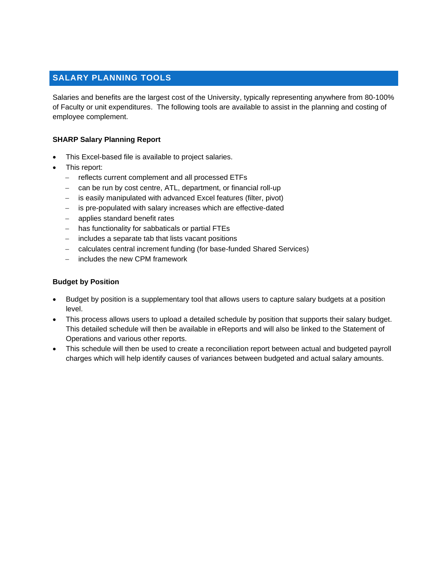## <span id="page-11-0"></span>**SALARY PLANNING TOOLS**

Salaries and benefits are the largest cost of the University, typically representing anywhere from 80-100% of Faculty or unit expenditures. The following tools are available to assist in the planning and costing of employee complement.

#### **SHARP Salary Planning Report**

- This Excel-based file is available to project salaries.
- This report:
	- − reflects current complement and all processed ETFs
	- can be run by cost centre, ATL, department, or financial roll-up
	- − is easily manipulated with advanced Excel features (filter, pivot)
	- − is pre-populated with salary increases which are effective-dated
	- − applies standard benefit rates
	- − has functionality for sabbaticals or partial FTEs
	- − includes a separate tab that lists vacant positions
	- − calculates central increment funding (for base-funded Shared Services)
	- includes the new CPM framework

#### **Budget by Position**

- Budget by position is a supplementary tool that allows users to capture salary budgets at a position level.
- This process allows users to upload a detailed schedule by position that supports their salary budget. This detailed schedule will then be available in eReports and will also be linked to the Statement of Operations and various other reports.
- This schedule will then be used to create a reconciliation report between actual and budgeted payroll charges which will help identify causes of variances between budgeted and actual salary amounts.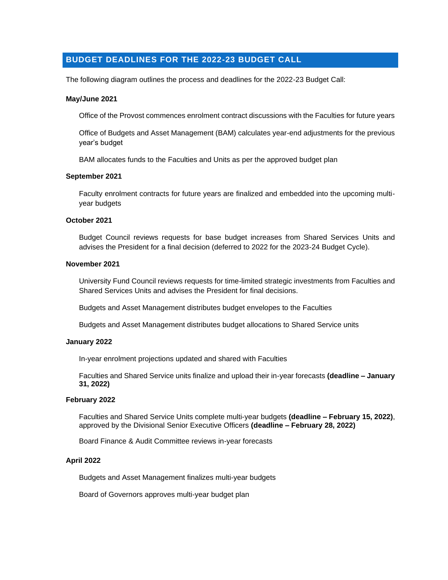## <span id="page-12-0"></span>**BUDGET DEADLINES FOR THE 2022-23 BUDGET CALL**

The following diagram outlines the process and deadlines for the 2022-23 Budget Call:

#### **May/June 2021**

Office of the Provost commences enrolment contract discussions with the Faculties for future years

Office of Budgets and Asset Management (BAM) calculates year-end adjustments for the previous year's budget

BAM allocates funds to the Faculties and Units as per the approved budget plan

#### **September 2021**

Faculty enrolment contracts for future years are finalized and embedded into the upcoming multiyear budgets

#### **October 2021**

Budget Council reviews requests for base budget increases from Shared Services Units and advises the President for a final decision (deferred to 2022 for the 2023-24 Budget Cycle).

#### **November 2021**

University Fund Council reviews requests for time-limited strategic investments from Faculties and Shared Services Units and advises the President for final decisions.

Budgets and Asset Management distributes budget envelopes to the Faculties

Budgets and Asset Management distributes budget allocations to Shared Service units

#### **January 2022**

In-year enrolment projections updated and shared with Faculties

Faculties and Shared Service units finalize and upload their in-year forecasts **(deadline – January 31, 2022)**

#### **February 2022**

Faculties and Shared Service Units complete multi-year budgets **(deadline – February 15, 2022)**, approved by the Divisional Senior Executive Officers **(deadline – February 28, 2022)**

Board Finance & Audit Committee reviews in-year forecasts

#### **April 2022**

Budgets and Asset Management finalizes multi-year budgets

Board of Governors approves multi-year budget plan